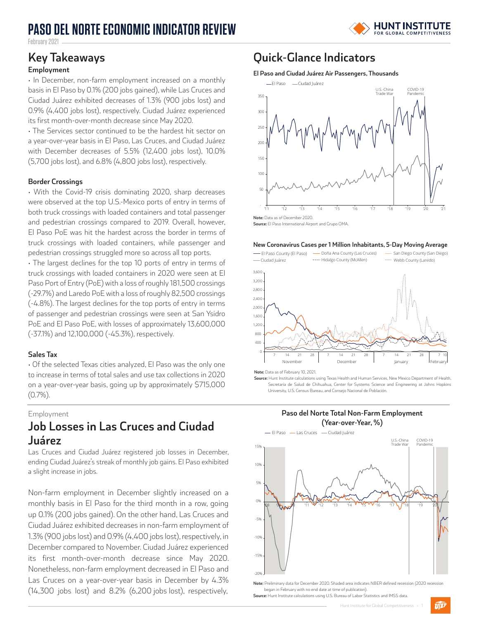# **PASO DEL NORTE ECONOMIC INDICATOR REVIEW**



February 2021

#### **Employment**

• In December, non-farm employment increased on a monthly basis in El Paso by 0.1% (200 jobs gained), while Las Cruces and Ciudad Juárez exhibited decreases of 1.3% (900 jobs lost) and 0.9% (4,400 jobs lost), respectively. Ciudad Juárez experienced its first month-over-month decrease since May 2020.

• The Services sector continued to be the hardest hit sector on a year-over-year basis in El Paso, Las Cruces, and Ciudad Juárez with December decreases of 5.5% (12,400 jobs lost), 10.0% (5,700 jobs lost), and 6.8% (4,800 jobs lost), respectively.

### **Border Crossings**

• With the Covid-19 crisis dominating 2020, sharp decreases were observed at the top U.S.-Mexico ports of entry in terms of both truck crossings with loaded containers and total passenger and pedestrian crossings compared to 2019. Overall, however, El Paso PoE was hit the hardest across the border in terms of truck crossings with loaded containers, while passenger and pedestrian crossings struggled more so across all top ports.

• The largest declines for the top 10 ports of entry in terms of truck crossings with loaded containers in 2020 were seen at El Paso Port of Entry (PoE) with a loss of roughly 181,500 crossings (-29.7%) and Laredo PoE with a loss of roughly 82,500 crossings (-4.8%). The largest declines for the top ports of entry in terms of passenger and pedestrian crossings were seen at San Ysidro PoE and El Paso PoE, with losses of approximately 13,600,000 (-37.1%) and 12,100,000 (-45.3%), respectively.

#### **Sales Tax**

• Of the selected Texas cities analyzed, El Paso was the only one to increase in terms of total sales and use tax collections in 2020 on a year-over-year basis, going up by approximately \$715,000 (0.7%).

Employment

## **Job Losses in Las Cruces and Ciudad Juárez**

Las Cruces and Ciudad Juárez registered job losses in December, ending Ciudad Juárez's streak of monthly job gains. El Paso exhibited a slight increase in jobs.

Non-farm employment in December slightly increased on a monthly basis in El Paso for the third month in a row, going up 0.1% (200 jobs gained). On the other hand, Las Cruces and Ciudad Juárez exhibited decreases in non-farm employment of 1.3% (900 jobs lost) and 0.9% (4,400 jobs lost), respectively, in December compared to November. Ciudad Juárez experienced its first month-over-month decrease since May 2020. Nonetheless, non-farm employment decreased in El Paso and Las Cruces on a year-over-year basis in December by 4.3% (14,300 jobs lost) and 8.2% (6,200 jobs lost), respectively,

### **Key Takeaways Quick-Glance Indicators**

#### **El Paso and Ciudad Juárez Air Passengers, Thousands**



**Source:** El Paso International Airport and Grupo OMA.

#### **New Coronavirus Cases per 1 Million Inhabitants, 5-Day Moving Average**



**Note:** Data as of February 10, 2021.

**Source:** Hunt Institute calculations using Texas Health and Human Services, New Mexico Department of Health, Secretaría de Salud de Chihuahua, Center for Systems Science and Engineering at Johns Hopkins University, U.S. Census Bureau, and Consejo Nacional de Población.

**Paso del Norte Total Non-Farm Employment** 



began in February with no end date at time of publication) **Source:** Hunt Institute calculations using U.S. Bureau of Labor Statistics and IMSS data.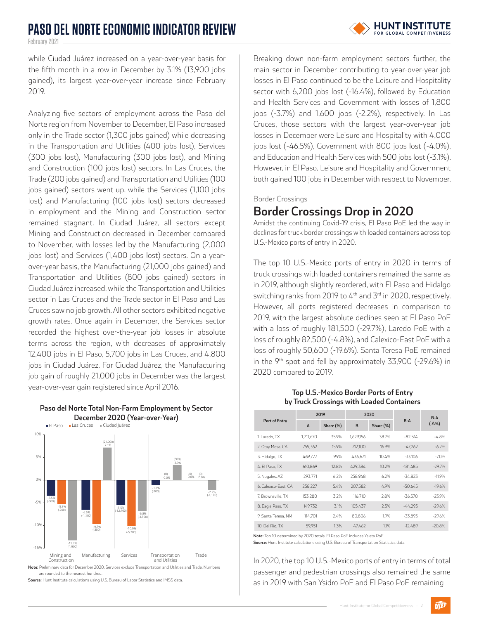February 2021

while Ciudad Juárez increased on a year-over-year basis for the fifth month in a row in December by 3.1% (13,900 jobs gained), its largest year-over-year increase since February 2019.

Analyzing five sectors of employment across the Paso del Norte region from November to December, El Paso increased only in the Trade sector (1,300 jobs gained) while decreasing in the Transportation and Utilities (400 jobs lost), Services (300 jobs lost), Manufacturing (300 jobs lost), and Mining and Construction (100 jobs lost) sectors. In Las Cruces, the Trade (200 jobs gained) and Transportation and Utilities (100 jobs gained) sectors went up, while the Services (1,100 jobs lost) and Manufacturing (100 jobs lost) sectors decreased in employment and the Mining and Construction sector remained stagnant. In Ciudad Juárez, all sectors except Mining and Construction decreased in December compared to November, with losses led by the Manufacturing (2,000 jobs lost) and Services (1,400 jobs lost) sectors. On a yearover-year basis, the Manufacturing (21,000 jobs gained) and Transportation and Utilities (800 jobs gained) sectors in Ciudad Juárez increased, while the Transportation and Utilities sector in Las Cruces and the Trade sector in El Paso and Las Cruces saw no job growth. All other sectors exhibited negative growth rates. Once again in December, the Services sector recorded the highest over-the-year job losses in absolute terms across the region, with decreases of approximately 12,400 jobs in El Paso, 5,700 jobs in Las Cruces, and 4,800 jobs in Ciudad Juárez. For Ciudad Juárez, the Manufacturing job gain of roughly 21,000 jobs in December was the largest year-over-year gain registered since April 2016.



**Paso del Norte Total Non-Farm Employment by Sector** 

are rounded to the nearest hundred.

**Source:** Hunt Institute calculations using U.S. Bureau of Labor Statistics and IMSS data.

Breaking down non-farm employment sectors further, the main sector in December contributing to year-over-year job losses in El Paso continued to be the Leisure and Hospitality sector with 6,200 jobs lost (-16.4%), followed by Education and Health Services and Government with losses of 1,800 jobs (-3.7%) and 1,600 jobs (-2.2%), respectively. In Las Cruces, those sectors with the largest year-over-year job losses in December were Leisure and Hospitality with 4,000 jobs lost (-46.5%), Government with 800 jobs lost (-4.0%), and Education and Health Services with 500 jobs lost (-3.1%). However, in El Paso, Leisure and Hospitality and Government both gained 100 jobs in December with respect to November.

Border Crossings

### **Border Crossings Drop in 2020**

Amidst the continuing Covid-19 crisis, El Paso PoE led the way in declines for truck border crossings with loaded containers across top U.S.-Mexico ports of entry in 2020.

The top 10 U.S.-Mexico ports of entry in 2020 in terms of truck crossings with loaded containers remained the same as in 2019, although slightly reordered, with El Paso and Hidalgo switching ranks from 2019 to  $4<sup>th</sup>$  and  $3<sup>rd</sup>$  in 2020, respectively. However, all ports registered decreases in comparison to 2019, with the largest absolute declines seen at El Paso PoE with a loss of roughly 181,500 (-29.7%), Laredo PoE with a loss of roughly 82,500 (-4.8%), and Calexico-East PoE with a loss of roughly 50,600 (-19.6%). Santa Teresa PoE remained in the  $9<sup>th</sup>$  spot and fell by approximately 33,900 (-29.6%) in 2020 compared to 2019.

#### **Top U.S.-Mexico Border Ports of Entry by Truck Crossings with Loaded Containers**

| Port of Entry        | 2019         |           | 2020      |           |            | $B-A$        |
|----------------------|--------------|-----------|-----------|-----------|------------|--------------|
|                      | $\mathsf{A}$ | Share (%) | B         | Share (%) | $B-A$      | $(\Delta\%)$ |
| 1. Laredo, TX        | 1.711.670    | 35.9%     | 1.629.156 | 38.7%     | $-82.514$  | $-4.8%$      |
| 2. Otay Mesa, CA     | 759.362      | 15.9%     | 712,100   | 16.9%     | $-47.262$  | $-6.2%$      |
| 3. Hidalgo, TX       | 469.777      | 9.9%      | 436.671   | 10.4%     | $-33.106$  | $-7.0%$      |
| 4. El Paso, TX       | 610,869      | 12.8%     | 429,384   | 10.2%     | $-181.485$ | $-29.7%$     |
| 5. Nogales, AZ       | 293.771      | 6.2%      | 258.948   | 6.2%      | $-34.823$  | $-11.9%$     |
| 6. Calexico-East. CA | 258,227      | 5.4%      | 207.582   | 4.9%      | $-50.645$  | $-19.6%$     |
| 7. Brownsville, TX   | 153.280      | 3.2%      | 116.710   | 2.8%      | $-36.570$  | $-23.9%$     |
| 8. Eagle Pass, TX    | 149.732      | 3.1%      | 105.437   | 2.5%      | $-44.295$  | $-29.6%$     |
| 9. Santa Teresa, NM  | 114.701      | 2.4%      | 80.806    | 1.9%      | $-33.895$  | $-29.6%$     |
| 10. Del Rio, TX      | 59.951       | 1.3%      | 47.462    | 1.1%      | $-12.489$  | $-20.8%$     |

**Note:** Top 10 determined by 2020 totals. El Paso PoE includes Ysleta PoE.

**Source:** Hunt Institute calculations using U.S. Bureau of Transportation Statistics data.

In 2020, the top 10 U.S.-Mexico ports of entry in terms of total passenger and pedestrian crossings also remained the same as in 2019 with San Ysidro PoE and El Paso PoE remaining